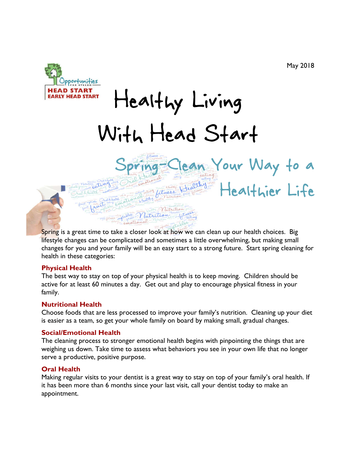ean Your Way to a

Healthier Life



# Healthy Living With Head Start

Spring is a great time to take a closer look at how we can clean up our health choices. Big lifestyle changes can be complicated and sometimes a little overwhelming, but making small changes for you and your family will be an easy start to a strong future. Start spring cleaning for health in these categories:

 $T_{11000}$ 

#### **Physical Health**

The best way to stay on top of your physical health is to keep moving. Children should be active for at least 60 minutes a day. Get out and play to encourage physical fitness in your family.

#### **Nutritional Health**

Choose foods that are less processed to improve your family's nutrition. Cleaning up your diet is easier as a team, so get your whole family on board by making small, gradual changes.

#### **Social/Emotional Health**

The cleaning process to stronger emotional health begins with pinpointing the things that are weighing us down. Take time to assess what behaviors you see in your own life that no longer serve a productive, positive purpose.

#### **Oral Health**

Making regular visits to your dentist is a great way to stay on top of your family's oral health. If it has been more than 6 months since your last visit, call your dentist today to make an appointment.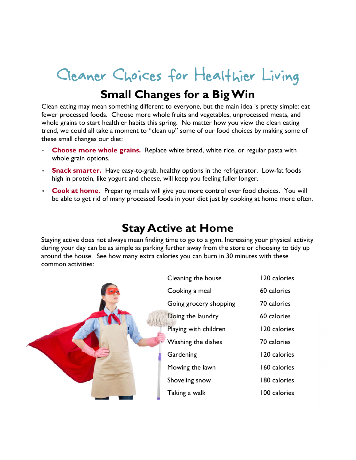## Cleaner Choices for Healthier Living

## **Small Changes for a Big Win**

Clean eating may mean something different to everyone, but the main idea is pretty simple: eat fewer processed foods. Choose more whole fruits and vegetables, unprocessed meats, and whole grains to start healthier habits this spring. No matter how you view the clean eating trend, we could all take a moment to "clean up" some of our food choices by making some of these small changes our diet:

- **Choose more whole grains.** Replace white bread, white rice, or regular pasta with whole grain options.
- **Snack smarter.** Have easy-to-grab, healthy options in the refrigerator. Low-fat foods high in protein, like yogurt and cheese, will keep you feeling fuller longer.
- **Cook at home.** Preparing meals will give you more control over food choices. You will be able to get rid of many processed foods in your diet just by cooking at home more often.

## **Stay Active at Home**

Staying active does not always mean finding time to go to a gym. Increasing your physical activity during your day can be as simple as parking further away from the store or choosing to tidy up around the house. See how many extra calories you can burn in 30 minutes with these common activities:

|  | Cleaning the house     | 120 calories |
|--|------------------------|--------------|
|  | Cooking a meal         | 60 calories  |
|  | Going grocery shopping | 70 calories  |
|  | Doing the laundry      | 60 calories  |
|  | Playing with children  | 120 calories |
|  | Washing the dishes     | 70 calories  |
|  | Gardening              | 120 calories |
|  | Mowing the lawn        | 160 calories |
|  | Shoveling snow         | 180 calories |
|  | Taking a walk          | 100 calories |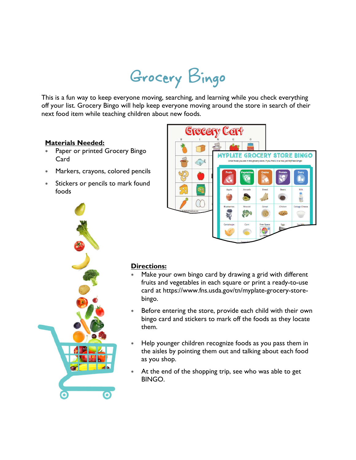## Grocery Bingo

This is a fun way to keep everyone moving, searching, and learning while you check everything off your list. Grocery Bingo will help keep everyone moving around the store in search of their next food item while teaching children about new foods.

### **Materials Needed:**

- Paper or printed Grocery Bingo Card
- Markers, crayons, colored pencils
- Stickers or pencils to mark found foods





#### **Directions:**

- Make your own bingo card by drawing a grid with different fruits and vegetables in each square or print a ready-to-use card at https://www.fns.usda.gov/tn/myplate-grocery-storebingo.
- Before entering the store, provide each child with their own bingo card and stickers to mark off the foods as they locate them.
- Help younger children recognize foods as you pass them in the aisles by pointing them out and talking about each food as you shop.
- At the end of the shopping trip, see who was able to get BINGO.